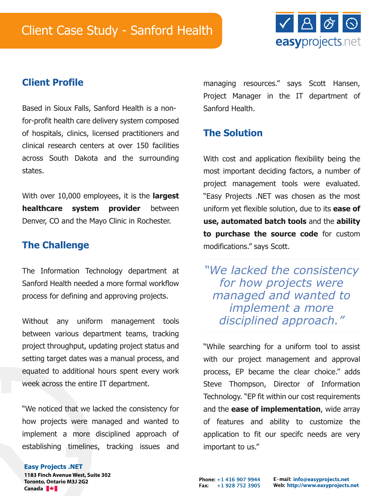

# **Client Profile**

Based in Sioux Falls, Sanford Health is a nonfor-profit health care delivery system composed of hospitals, clinics, licensed practitioners and clinical research centers at over 150 facilities across South Dakota and the surrounding states.

With over 10,000 employees, it is the **largest healthcare system provider** between Denver, CO and the Mayo Clinic in Rochester.

### **The Challenge**

The Information Technology department at Sanford Health needed a more formal workflow process for defining and approving projects.

Without any uniform management tools between various department teams, tracking project throughput, updating project status and setting target dates was a manual process, and equated to additional hours spent every work week across the entire IT department.

"We noticed that we lacked the consistency for how projects were managed and wanted to implement a more disciplined approach of establishing timelines, tracking issues and

managing resources." says Scott Hansen, Project Manager in the IT department of Sanford Health.

# **The Solution**

With cost and application flexibility being the most important deciding factors, a number of project management tools were evaluated. "Easy Projects .NET was chosen as the most uniform yet flexible solution, due to its **ease of use, automated batch tools** and the **ability to purchase the source code** for custom modifications." says Scott.

*"We lacked the consistency for how projects were managed and wanted to implement a more disciplined approach."*

"While searching for a uniform tool to assist with our project management and approval process, EP became the clear choice." adds Steve Thompson, Director of Information Technology. "EP fit within our cost requirements and the **ease of implementation**, wide array of features and ability to customize the application to fit our specifc needs are very important to us."

### **Easy Projects .NET**

**1183 Finch Avenue West, Suite 302 Toronto, Ontario M3J 2G2 Canada**